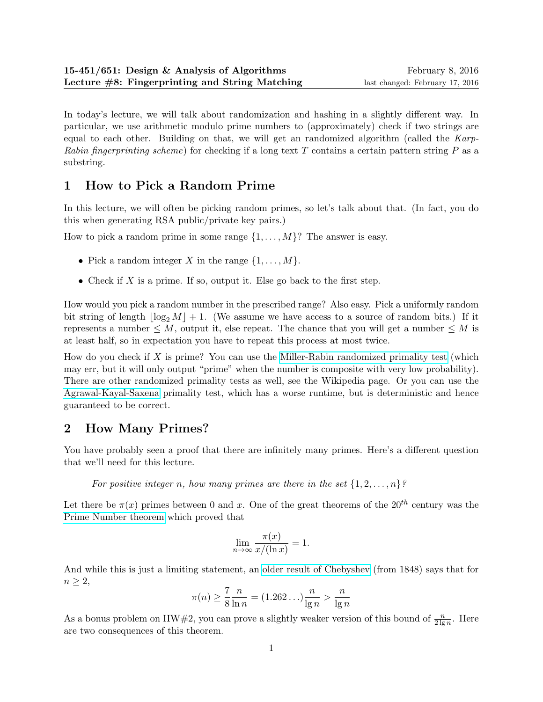In today's lecture, we will talk about randomization and hashing in a slightly different way. In particular, we use arithmetic modulo prime numbers to (approximately) check if two strings are equal to each other. Building on that, we will get an randomized algorithm (called the Karp-Rabin fingerprinting scheme) for checking if a long text T contains a certain pattern string  $P$  as a substring.

# 1 How to Pick a Random Prime

In this lecture, we will often be picking random primes, so let's talk about that. (In fact, you do this when generating RSA public/private key pairs.)

How to pick a random prime in some range  $\{1, \ldots, M\}$ ? The answer is easy.

- Pick a random integer X in the range  $\{1, \ldots, M\}$ .
- Check if X is a prime. If so, output it. Else go back to the first step.

How would you pick a random number in the prescribed range? Also easy. Pick a uniformly random bit string of length  $|\log_2 M| + 1$ . (We assume we have access to a source of random bits.) If it represents a number  $\leq M$ , output it, else repeat. The chance that you will get a number  $\leq M$  is at least half, so in expectation you have to repeat this process at most twice.

How do you check if X is prime? You can use the [Miller-Rabin randomized primality test](http://en.wikipedia.org/wiki/Miller-Rabin_primality_test) (which may err, but it will only output "prime" when the number is composite with very low probability). There are other randomized primality tests as well, see the Wikipedia page. Or you can use the [Agrawal-Kayal-Saxena](http://en.wikipedia.org/wiki/AKS_primality_test) primality test, which has a worse runtime, but is deterministic and hence guaranteed to be correct.

# 2 How Many Primes?

You have probably seen a proof that there are infinitely many primes. Here's a different question that we'll need for this lecture.

For positive integer n, how many primes are there in the set  $\{1, 2, \ldots, n\}$ ?

Let there be  $\pi(x)$  primes between 0 and x. One of the great theorems of the  $20^{th}$  century was the [Prime Number theorem](http://en.wikipedia.org/wiki/Prime_number_theorem) which proved that

$$
\lim_{n \to \infty} \frac{\pi(x)}{x/(\ln x)} = 1.
$$

And while this is just a limiting statement, an [older result of Chebyshev](http://mathworld.wolfram.com/PrimeNumberTheorem.html) (from 1848) says that for  $n \geq 2$ ,

$$
\pi(n) \ge \frac{7}{8} \frac{n}{\ln n} = (1.262\dots)\frac{n}{\lg n} > \frac{n}{\lg n}
$$

As a bonus problem on HW#2, you can prove a slightly weaker version of this bound of  $\frac{n}{2 \lg n}$ . Here are two consequences of this theorem.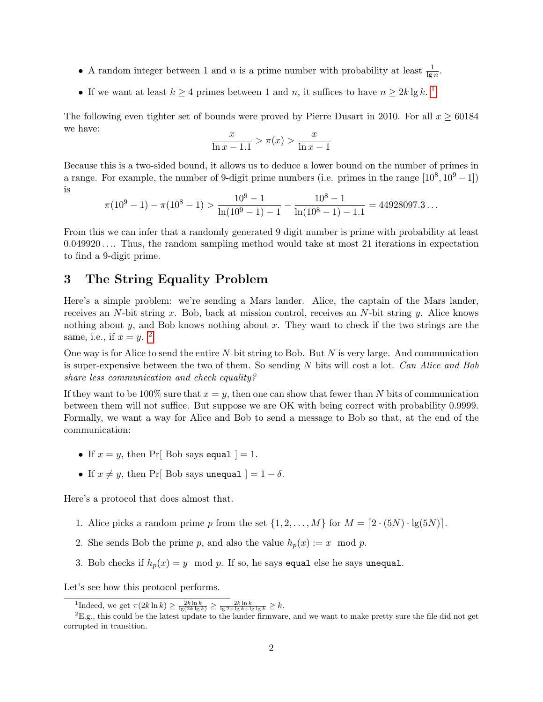- A random integer between 1 and *n* is a prime number with probability at least  $\frac{1}{\lg n}$ .
- If we want at least  $k \geq 4$  primes between [1](#page-1-0) and n, it suffices to have  $n \geq 2k \lg k$ .

The following even tighter set of bounds were proved by Pierre Dusart in 2010. For all  $x \ge 60184$ we have:

$$
\frac{x}{\ln x - 1.1} > \pi(x) > \frac{x}{\ln x - 1}
$$

Because this is a two-sided bound, it allows us to deduce a lower bound on the number of primes in a range. For example, the number of 9-digit prime numbers (i.e. primes in the range  $[10^8, 10^9 - 1]$ ) is

$$
\pi(10^9 - 1) - \pi(10^8 - 1) > \frac{10^9 - 1}{\ln(10^9 - 1) - 1} - \frac{10^8 - 1}{\ln(10^8 - 1) - 1.1} = 44928097.3...
$$

From this we can infer that a randomly generated 9 digit number is prime with probability at least  $0.049920...$  Thus, the random sampling method would take at most 21 iterations in expectation to find a 9-digit prime.

## 3 The String Equality Problem

Here's a simple problem: we're sending a Mars lander. Alice, the captain of the Mars lander, receives an N-bit string x. Bob, back at mission control, receives an N-bit string y. Alice knows nothing about  $y$ , and Bob knows nothing about  $x$ . They want to check if the two strings are the same, i.e., if  $x = y$ . <sup>[2](#page-1-1)</sup>

One way is for Alice to send the entire  $N$ -bit string to Bob. But  $N$  is very large. And communication is super-expensive between the two of them. So sending  $N$  bits will cost a lot. Can Alice and Bob share less communication and check equality?

If they want to be 100% sure that  $x = y$ , then one can show that fewer than N bits of communication between them will not suffice. But suppose we are OK with being correct with probability 0.9999. Formally, we want a way for Alice and Bob to send a message to Bob so that, at the end of the communication:

- If  $x = y$ , then Pr[ Bob says equal ] = 1.
- If  $x \neq y$ , then Pr[ Bob says unequal  $] = 1 \delta$ .

Here's a protocol that does almost that.

- 1. Alice picks a random prime p from the set  $\{1, 2, ..., M\}$  for  $M = [2 \cdot (5N) \cdot \lg(5N)]$ .
- 2. She sends Bob the prime p, and also the value  $h_p(x) := x \mod p$ .
- 3. Bob checks if  $h_p(x) = y \mod p$ . If so, he says equal else he says unequal.

Let's see how this protocol performs.

<span id="page-1-1"></span><span id="page-1-0"></span><sup>&</sup>lt;sup>1</sup>Indeed, we get  $\pi(2k\ln k) \geq \frac{2k\ln k}{\lg(2k\lg k)} \geq \frac{2k\ln k}{\lg 2 + \lg k + \lg\lg k} \geq k$ .

 ${}^{2}E.g.,$  this could be the latest update to the lander firmware, and we want to make pretty sure the file did not get corrupted in transition.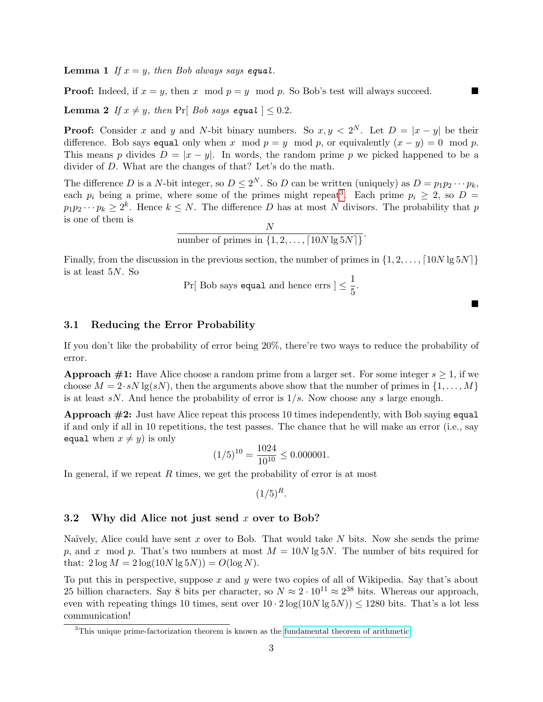**Lemma 1** If  $x = y$ , then Bob always says equal.

**Proof:** Indeed, if  $x = y$ , then x mod  $p = y$  mod p. So Bob's test will always succeed.

**Lemma 2** If  $x \neq y$ , then Pr[ Bob says equal  $| \leq 0.2$ .

**Proof:** Consider x and y and N-bit binary numbers. So  $x, y < 2^N$ . Let  $D = |x - y|$  be their difference. Bob says equal only when x mod  $p = y \mod p$ , or equivalently  $(x - y) = 0 \mod p$ . This means p divides  $D = |x - y|$ . In words, the random prime p we picked happened to be a divider of D. What are the changes of that? Let's do the math.

The difference D is a N-bit integer, so  $D \leq 2^N$ . So D can be written (uniquely) as  $D = p_1 p_2 \cdots p_k$ , each  $p_i$  being a prime, where some of the primes might repeat<sup>[3](#page-2-0)</sup>. Each prime  $p_i \geq 2$ , so  $D =$  $p_1p_2\cdots p_k\geq 2^k$ . Hence  $k\leq N$ . The difference D has at most N divisors. The probability that p is one of them is  $\overline{M}$ 

number of primes in 
$$
\{1, 2, ..., [10N \lg 5N]\}
$$
.

Finally, from the discussion in the previous section, the number of primes in  $\{1, 2, \ldots, \lceil 10N \lg 5N \rceil\}$ is at least 5N. So

$$
Pr[ \text{ Bob says equal and hence } \text{errs } ] \leq \frac{1}{5}.
$$

 $\blacksquare$ 

#### 3.1 Reducing the Error Probability

If you don't like the probability of error being 20%, there're two ways to reduce the probability of error.

**Approach #1:** Have Alice choose a random prime from a larger set. For some integer  $s \geq 1$ , if we choose  $M = 2 \cdot sN \lg(sN)$ , then the arguments above show that the number of primes in  $\{1, \ldots, M\}$ is at least  $sN$ . And hence the probability of error is  $1/s$ . Now choose any s large enough.

**Approach**  $\#2$ **:** Just have Alice repeat this process 10 times independently, with Bob saying equal if and only if all in 10 repetitions, the test passes. The chance that he will make an error (i.e., say equal when  $x \neq y$ ) is only

$$
(1/5)^{10} = \frac{1024}{10^{10}} \le 0.000001.
$$

In general, if we repeat  $R$  times, we get the probability of error is at most

$$
(1/5)^R.
$$

#### 3.2 Why did Alice not just send x over to Bob?

Naïvely, Alice could have sent x over to Bob. That would take  $N$  bits. Now she sends the prime p, and x mod p. That's two numbers at most  $M = 10N \lg 5N$ . The number of bits required for that:  $2 \log M = 2 \log(10N \lg 5N)) = O(\log N)$ .

To put this in perspective, suppose  $x$  and  $y$  were two copies of all of Wikipedia. Say that's about 25 billion characters. Say 8 bits per character, so  $N \approx 2 \cdot 10^{11} \approx 2^{38}$  bits. Whereas our approach, even with repeating things 10 times, sent over  $10 \cdot 2 \log(10N \lg 5N)) \leq 1280$  bits. That's a lot less communication!

<span id="page-2-0"></span><sup>&</sup>lt;sup>3</sup>This unique prime-factorization theorem is known as the [fundamental theorem of arithmetic.](https://en.wikipedia.org/wiki/Fundamental_theorem_of_arithmetic)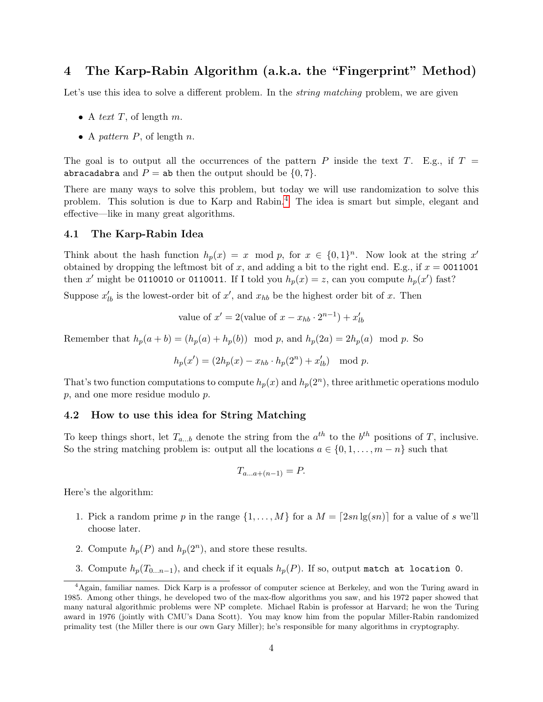## 4 The Karp-Rabin Algorithm (a.k.a. the "Fingerprint" Method)

Let's use this idea to solve a different problem. In the *string matching* problem, we are given

- A text  $T$ , of length  $m$ .
- A pattern  $P$ , of length  $n$ .

The goal is to output all the occurrences of the pattern P inside the text T. E.g., if  $T =$ abracadabra and  $P =$  ab then the output should be  $\{0, 7\}$ .

There are many ways to solve this problem, but today we will use randomization to solve this problem. This solution is due to Karp and Rabin.[4](#page-3-0) The idea is smart but simple, elegant and effective—like in many great algorithms.

#### <span id="page-3-1"></span>4.1 The Karp-Rabin Idea

Think about the hash function  $h_p(x) = x \mod p$ , for  $x \in \{0,1\}^n$ . Now look at the string x' obtained by dropping the leftmost bit of x, and adding a bit to the right end. E.g., if  $x = 0011001$ then x' might be 0110010 or 0110011. If I told you  $h_p(x) = z$ , can you compute  $h_p(x')$  fast?

Suppose  $x'_{lb}$  is the lowest-order bit of  $x'$ , and  $x_{hb}$  be the highest order bit of x. Then

value of 
$$
x' = 2
$$
(value of  $x - x_{hb} \cdot 2^{n-1}$ ) +  $x'_{lb}$ 

Remember that  $h_p(a + b) = (h_p(a) + h_p(b)) \mod p$ , and  $h_p(2a) = 2h_p(a) \mod p$ . So

$$
h_p(x') = (2h_p(x) - x_{hb} \cdot h_p(2^n) + x'_{lb}) \mod p.
$$

That's two function computations to compute  $h_p(x)$  and  $h_p(2^n)$ , three arithmetic operations modulo p, and one more residue modulo p.

#### 4.2 How to use this idea for String Matching

To keep things short, let  $T_{a...b}$  denote the string from the  $a^{th}$  to the  $b^{th}$  positions of T, inclusive. So the string matching problem is: output all the locations  $a \in \{0, 1, \ldots, m - n\}$  such that

$$
T_{a\ldots a+(n-1)} = P.
$$

Here's the algorithm:

- 1. Pick a random prime p in the range  $\{1, \ldots, M\}$  for a  $M = \lceil 2sn \lg(sn) \rceil$  for a value of s we'll choose later.
- 2. Compute  $h_p(P)$  and  $h_p(2^n)$ , and store these results.
- 3. Compute  $h_p(T_{0...n-1})$ , and check if it equals  $h_p(P)$ . If so, output match at location 0.

<span id="page-3-0"></span><sup>4</sup>Again, familiar names. Dick Karp is a professor of computer science at Berkeley, and won the Turing award in 1985. Among other things, he developed two of the max-flow algorithms you saw, and his 1972 paper showed that many natural algorithmic problems were NP complete. Michael Rabin is professor at Harvard; he won the Turing award in 1976 (jointly with CMU's Dana Scott). You may know him from the popular Miller-Rabin randomized primality test (the Miller there is our own Gary Miller); he's responsible for many algorithms in cryptography.